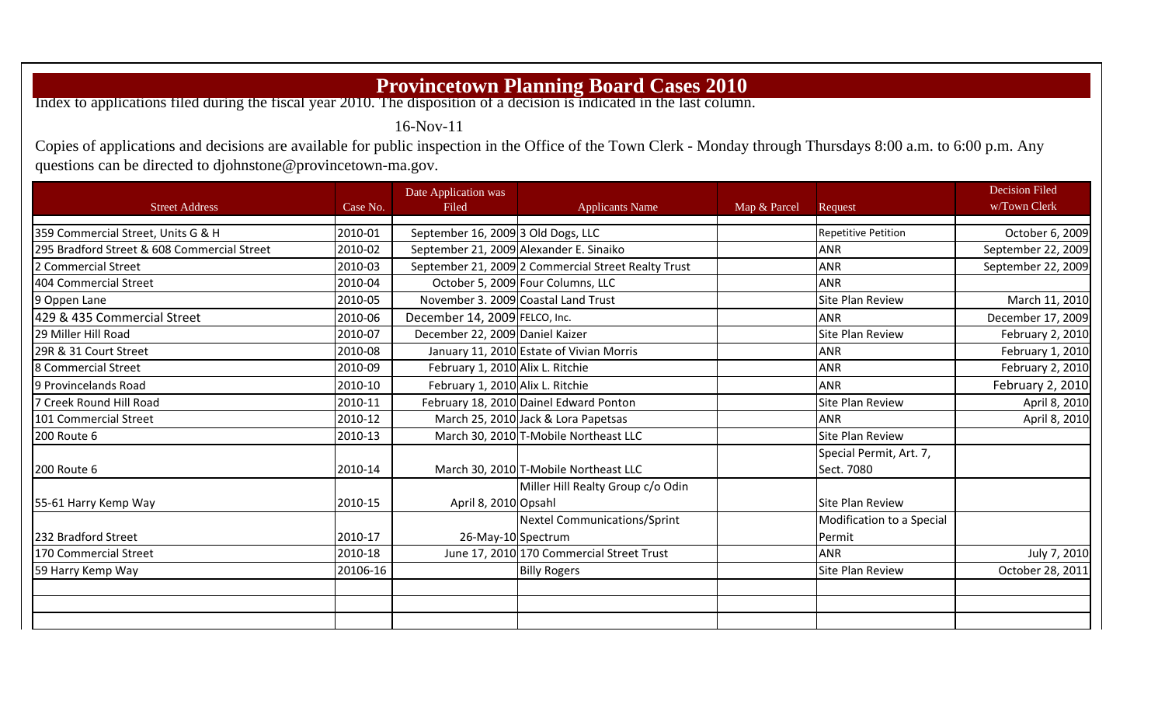## **Provincetown Planning Board Cases 2010**

Index to applications filed during the fiscal year 2010. The disposition of a decision is indicated in the last column.

16-Nov-11

Copies of applications and decisions are available for public inspection in the Office of the Town Clerk - Monday through Thursdays 8:00 a.m. to 6:00 p.m. Any questions can be directed to djohnstone@provincetown-ma.gov.

|                                             |          | Date Application was               |                                                     |              |                                       | <b>Decision Filed</b> |
|---------------------------------------------|----------|------------------------------------|-----------------------------------------------------|--------------|---------------------------------------|-----------------------|
| <b>Street Address</b>                       | Case No. | Filed                              | <b>Applicants Name</b>                              | Map & Parcel | Request                               | w/Town Clerk          |
| 359 Commercial Street, Units G & H          | 2010-01  | September 16, 2009 3 Old Dogs, LLC |                                                     |              | <b>Repetitive Petition</b>            | October 6, 2009       |
| 295 Bradford Street & 608 Commercial Street | 2010-02  |                                    | September 21, 2009 Alexander E. Sinaiko             |              | <b>ANR</b>                            | September 22, 2009    |
| 2 Commercial Street                         | 2010-03  |                                    | September 21, 2009 2 Commercial Street Realty Trust |              | <b>ANR</b>                            | September 22, 2009    |
| 404 Commercial Street                       | 2010-04  |                                    | October 5, 2009 Four Columns, LLC                   |              | <b>ANR</b>                            |                       |
| 9 Oppen Lane                                | 2010-05  |                                    | November 3. 2009 Coastal Land Trust                 |              | Site Plan Review                      | March 11, 2010        |
| 429 & 435 Commercial Street                 | 2010-06  | December 14, 2009 FELCO, Inc.      |                                                     |              | <b>ANR</b>                            | December 17, 2009     |
| 29 Miller Hill Road                         | 2010-07  | December 22, 2009 Daniel Kaizer    |                                                     |              | Site Plan Review                      | February 2, 2010      |
| 29R & 31 Court Street                       | 2010-08  |                                    | January 11, 2010 Estate of Vivian Morris            |              | <b>ANR</b>                            | February 1, 2010      |
| 8 Commercial Street                         | 2010-09  | February 1, 2010 Alix L. Ritchie   |                                                     |              | <b>ANR</b>                            | February 2, 2010      |
| 9 Provincelands Road                        | 2010-10  | February 1, 2010 Alix L. Ritchie   |                                                     |              | <b>ANR</b>                            | February 2, 2010      |
| 7 Creek Round Hill Road                     | 2010-11  |                                    | February 18, 2010 Dainel Edward Ponton              |              | Site Plan Review                      | April 8, 2010         |
| 101 Commercial Street                       | 2010-12  |                                    | March 25, 2010 Jack & Lora Papetsas                 |              | <b>ANR</b>                            | April 8, 2010         |
| 200 Route 6                                 | 2010-13  |                                    | March 30, 2010 T-Mobile Northeast LLC               |              | Site Plan Review                      |                       |
| <b>200 Route 6</b>                          | 2010-14  |                                    | March 30, 2010 T-Mobile Northeast LLC               |              | Special Permit, Art. 7,<br>Sect. 7080 |                       |
|                                             |          |                                    | Miller Hill Realty Group c/o Odin                   |              |                                       |                       |
| 55-61 Harry Kemp Way                        | 2010-15  | April 8, 2010 Opsahl               |                                                     |              | Site Plan Review                      |                       |
|                                             |          |                                    | Nextel Communications/Sprint                        |              | Modification to a Special             |                       |
| 232 Bradford Street                         | 2010-17  | 26-May-10 Spectrum                 |                                                     |              | Permit                                |                       |
| 170 Commercial Street                       | 2010-18  |                                    | June 17, 2010 170 Commercial Street Trust           |              | <b>ANR</b>                            | July 7, 2010          |
| 59 Harry Kemp Way                           | 20106-16 |                                    | <b>Billy Rogers</b>                                 |              | Site Plan Review                      | October 28, 2011      |
|                                             |          |                                    |                                                     |              |                                       |                       |
|                                             |          |                                    |                                                     |              |                                       |                       |
|                                             |          |                                    |                                                     |              |                                       |                       |